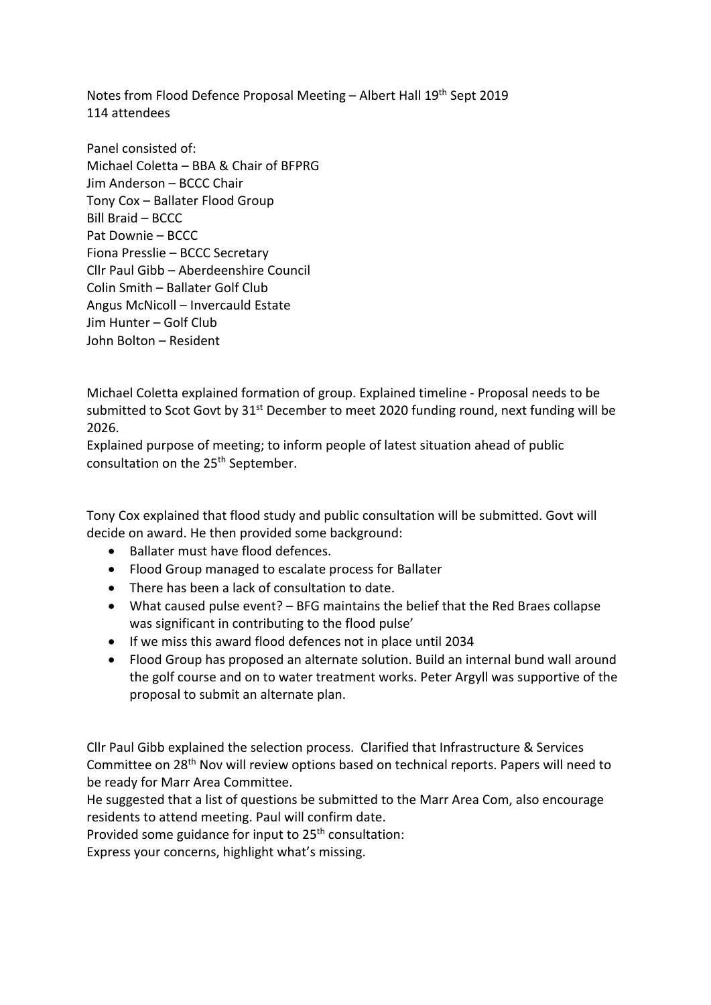Notes from Flood Defence Proposal Meeting – Albert Hall 19th Sept 2019 114 attendees

Panel consisted of: Michael Coletta – BBA & Chair of BFPRG Jim Anderson – BCCC Chair Tony Cox – Ballater Flood Group Bill Braid – BCCC Pat Downie – BCCC Fiona Presslie – BCCC Secretary Cllr Paul Gibb – Aberdeenshire Council Colin Smith – Ballater Golf Club Angus McNicoll – Invercauld Estate Jim Hunter – Golf Club John Bolton – Resident

Michael Coletta explained formation of group. Explained timeline - Proposal needs to be submitted to Scot Govt by 31<sup>st</sup> December to meet 2020 funding round, next funding will be 2026.

Explained purpose of meeting; to inform people of latest situation ahead of public consultation on the 25<sup>th</sup> September.

Tony Cox explained that flood study and public consultation will be submitted. Govt will decide on award. He then provided some background:

- Ballater must have flood defences.
- Flood Group managed to escalate process for Ballater
- There has been a lack of consultation to date.
- What caused pulse event? BFG maintains the belief that the Red Braes collapse was significant in contributing to the flood pulse'
- If we miss this award flood defences not in place until 2034
- Flood Group has proposed an alternate solution. Build an internal bund wall around the golf course and on to water treatment works. Peter Argyll was supportive of the proposal to submit an alternate plan.

Cllr Paul Gibb explained the selection process. Clarified that Infrastructure & Services Committee on 28th Nov will review options based on technical reports. Papers will need to be ready for Marr Area Committee.

He suggested that a list of questions be submitted to the Marr Area Com, also encourage residents to attend meeting. Paul will confirm date.

Provided some guidance for input to 25<sup>th</sup> consultation:

Express your concerns, highlight what's missing.